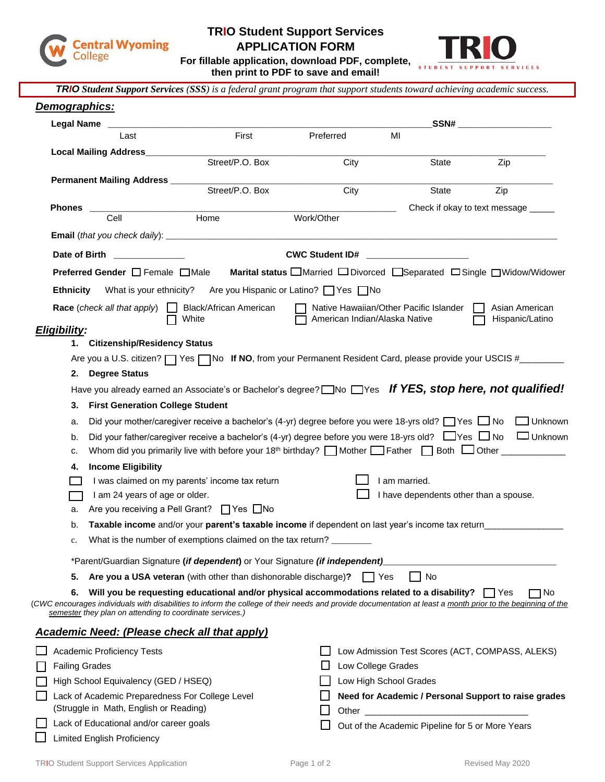

## **TRIO Student Support Services**

**APPLICATION FORM**



**For fillable application, download PDF, complete, then print to PDF to save and email!**

| <b>TRIO</b> Student Support Services (SSS) is a federal grant program that support students toward achieving academic success.                                                                                                |                                        |                                                                                                               |                                                                                                                                                                                                                               |                                                      |  |  |
|-------------------------------------------------------------------------------------------------------------------------------------------------------------------------------------------------------------------------------|----------------------------------------|---------------------------------------------------------------------------------------------------------------|-------------------------------------------------------------------------------------------------------------------------------------------------------------------------------------------------------------------------------|------------------------------------------------------|--|--|
| Demographics:                                                                                                                                                                                                                 |                                        |                                                                                                               |                                                                                                                                                                                                                               |                                                      |  |  |
| Legal Name                                                                                                                                                                                                                    |                                        |                                                                                                               |                                                                                                                                                                                                                               | _SSN# _______________________                        |  |  |
| Last                                                                                                                                                                                                                          | First                                  | Preferred<br>MI                                                                                               |                                                                                                                                                                                                                               |                                                      |  |  |
| <b>Local Mailing Address_____</b>                                                                                                                                                                                             |                                        |                                                                                                               |                                                                                                                                                                                                                               |                                                      |  |  |
|                                                                                                                                                                                                                               | Street/P.O. Box                        | City                                                                                                          | State                                                                                                                                                                                                                         | Zip                                                  |  |  |
| <b>Permanent Mailing Address</b> _____                                                                                                                                                                                        | Street/P.O. Box                        | City                                                                                                          | State                                                                                                                                                                                                                         | Zip                                                  |  |  |
|                                                                                                                                                                                                                               |                                        |                                                                                                               |                                                                                                                                                                                                                               |                                                      |  |  |
| <b>Phones</b><br>Cell                                                                                                                                                                                                         | Home                                   | Work/Other                                                                                                    |                                                                                                                                                                                                                               | Check if okay to text message _____                  |  |  |
|                                                                                                                                                                                                                               |                                        |                                                                                                               |                                                                                                                                                                                                                               |                                                      |  |  |
| Date of Birth <b>Exercise 2018</b>                                                                                                                                                                                            |                                        | <b>CWC Student ID#</b>                                                                                        |                                                                                                                                                                                                                               |                                                      |  |  |
| <b>Preferred Gender</b> □ Female □ Male                                                                                                                                                                                       |                                        | Marital status <b>OMarried ODivorced</b> Separated <b>ODingle OWidow/Widower</b>                              |                                                                                                                                                                                                                               |                                                      |  |  |
|                                                                                                                                                                                                                               |                                        |                                                                                                               |                                                                                                                                                                                                                               |                                                      |  |  |
| <b>Ethnicity</b> What is your ethnicity?                                                                                                                                                                                      |                                        | Are you Hispanic or Latino?   Yes INo                                                                         |                                                                                                                                                                                                                               |                                                      |  |  |
| Race (check all that apply) $\Box$                                                                                                                                                                                            | <b>Black/African American</b><br>White | Native Hawaiian/Other Pacific Islander<br>American Indian/Alaska Native                                       |                                                                                                                                                                                                                               | Asian American<br>Hispanic/Latino                    |  |  |
| Eligibility:                                                                                                                                                                                                                  |                                        |                                                                                                               |                                                                                                                                                                                                                               |                                                      |  |  |
| 1. Citizenship/Residency Status                                                                                                                                                                                               |                                        |                                                                                                               |                                                                                                                                                                                                                               |                                                      |  |  |
| Are you a U.S. citizen?   Yes   No If NO, from your Permanent Resident Card, please provide your USCIS #_______                                                                                                               |                                        |                                                                                                               |                                                                                                                                                                                                                               |                                                      |  |  |
| 2. Degree Status                                                                                                                                                                                                              |                                        |                                                                                                               |                                                                                                                                                                                                                               |                                                      |  |  |
| Have you already earned an Associate's or Bachelor's degree? $\Box$ No $\Box$ Yes <b>If YES, stop here, not qualified!</b>                                                                                                    |                                        |                                                                                                               |                                                                                                                                                                                                                               |                                                      |  |  |
| <b>First Generation College Student</b><br>3.                                                                                                                                                                                 |                                        |                                                                                                               |                                                                                                                                                                                                                               |                                                      |  |  |
| a.                                                                                                                                                                                                                            |                                        | Did your mother/caregiver receive a bachelor's (4-yr) degree before you were 18-yrs old? □ Yes □ No □ Unknown |                                                                                                                                                                                                                               |                                                      |  |  |
| b.                                                                                                                                                                                                                            |                                        | Did your father/caregiver receive a bachelor's (4-yr) degree before you were 18-yrs old? □ Yes □ No □ Unknown |                                                                                                                                                                                                                               |                                                      |  |  |
| c.                                                                                                                                                                                                                            |                                        |                                                                                                               |                                                                                                                                                                                                                               |                                                      |  |  |
| <b>Income Eligibility</b><br>4.                                                                                                                                                                                               |                                        |                                                                                                               |                                                                                                                                                                                                                               |                                                      |  |  |
| I was claimed on my parents' income tax return                                                                                                                                                                                |                                        |                                                                                                               | I am married.                                                                                                                                                                                                                 |                                                      |  |  |
| I am 24 years of age or older.<br>Are you receiving a Pell Grant? □ Yes □ No                                                                                                                                                  |                                        |                                                                                                               | I have dependents other than a spouse.                                                                                                                                                                                        |                                                      |  |  |
| a.                                                                                                                                                                                                                            |                                        |                                                                                                               |                                                                                                                                                                                                                               |                                                      |  |  |
| Taxable income and/or your parent's taxable income if dependent on last year's income tax return<br>b.<br>What is the number of exemptions claimed on the tax return?                                                         |                                        |                                                                                                               |                                                                                                                                                                                                                               |                                                      |  |  |
| c.                                                                                                                                                                                                                            |                                        |                                                                                                               |                                                                                                                                                                                                                               |                                                      |  |  |
| *Parent/Guardian Signature (if dependent) or Your Signature (if independent)                                                                                                                                                  |                                        |                                                                                                               |                                                                                                                                                                                                                               |                                                      |  |  |
| No<br>Are you a USA veteran (with other than dishonorable discharge)?<br>5.<br>∣ Yes                                                                                                                                          |                                        |                                                                                                               |                                                                                                                                                                                                                               |                                                      |  |  |
| 6.<br>(CWC encourages individuals with disabilities to inform the college of their needs and provide documentation at least a month prior to the beginning of the<br>semester they plan on attending to coordinate services.) |                                        | Will you be requesting educational and/or physical accommodations related to a disability? $\Box$ Yes         |                                                                                                                                                                                                                               | ∩ No                                                 |  |  |
| <b>Academic Need: (Please check all that apply)</b>                                                                                                                                                                           |                                        |                                                                                                               |                                                                                                                                                                                                                               |                                                      |  |  |
| <b>Academic Proficiency Tests</b>                                                                                                                                                                                             |                                        |                                                                                                               |                                                                                                                                                                                                                               | Low Admission Test Scores (ACT, COMPASS, ALEKS)      |  |  |
| <b>Failing Grades</b>                                                                                                                                                                                                         |                                        | Low College Grades                                                                                            |                                                                                                                                                                                                                               |                                                      |  |  |
| High School Equivalency (GED / HSEQ)                                                                                                                                                                                          |                                        | Low High School Grades                                                                                        |                                                                                                                                                                                                                               |                                                      |  |  |
| Lack of Academic Preparedness For College Level                                                                                                                                                                               |                                        |                                                                                                               |                                                                                                                                                                                                                               | Need for Academic / Personal Support to raise grades |  |  |
| (Struggle in Math, English or Reading)                                                                                                                                                                                        |                                        |                                                                                                               | Other and the contract of the contract of the contract of the contract of the contract of the contract of the contract of the contract of the contract of the contract of the contract of the contract of the contract of the |                                                      |  |  |
| Lack of Educational and/or career goals                                                                                                                                                                                       |                                        |                                                                                                               | Out of the Academic Pipeline for 5 or More Years                                                                                                                                                                              |                                                      |  |  |

**Limited English Proficiency**